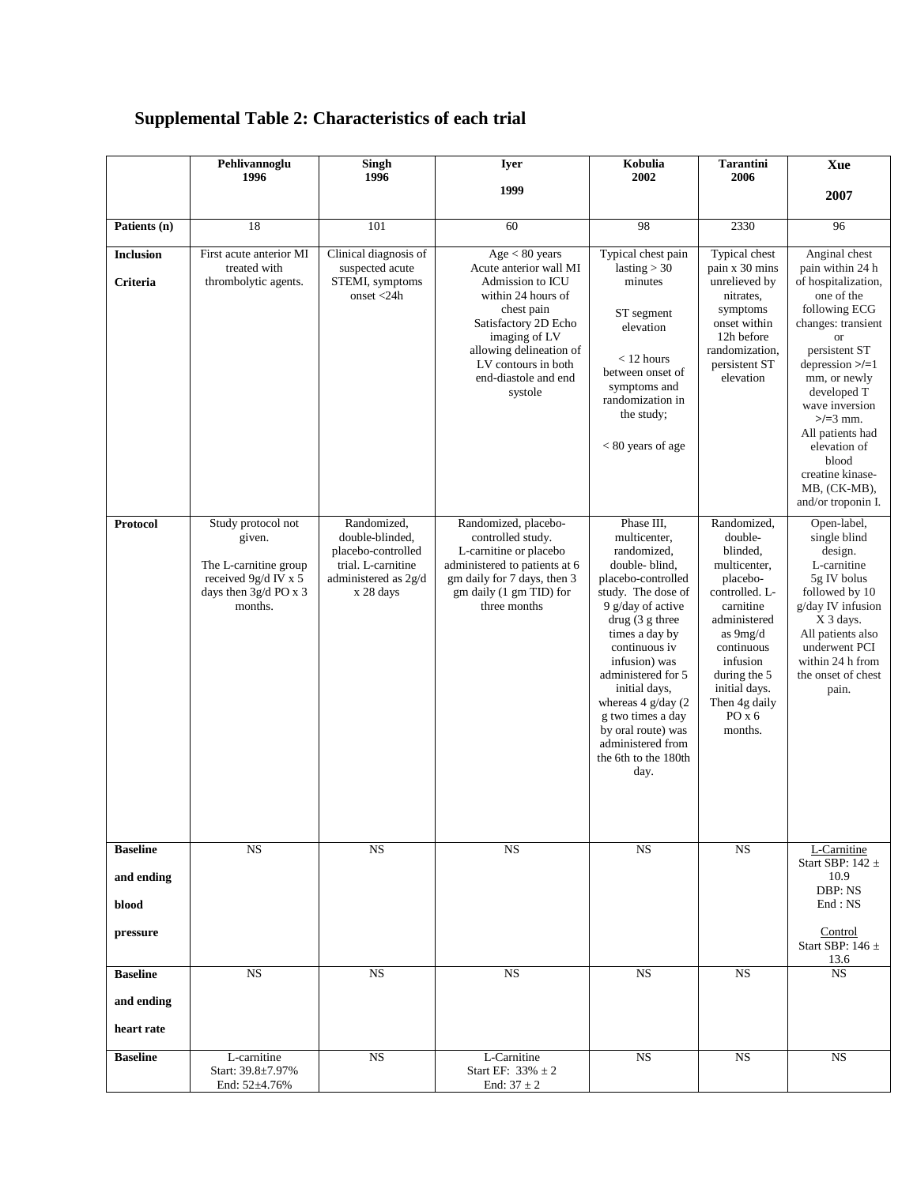## **Supplemental Table 2: Characteristics of each trial**

|                              | Pehlivannoglu<br>1996                                                                                             | Singh<br>1996                                                                                                   | <b>Iyer</b>                                                                                                                                                                                                                    | Kobulia<br>2002                                                                                                                                                                                                                                                                                                                                                    | <b>Tarantini</b><br>2006                                                                                                                                                                                                 | Xue                                                                                                                                                                                                                                                                                                                                      |
|------------------------------|-------------------------------------------------------------------------------------------------------------------|-----------------------------------------------------------------------------------------------------------------|--------------------------------------------------------------------------------------------------------------------------------------------------------------------------------------------------------------------------------|--------------------------------------------------------------------------------------------------------------------------------------------------------------------------------------------------------------------------------------------------------------------------------------------------------------------------------------------------------------------|--------------------------------------------------------------------------------------------------------------------------------------------------------------------------------------------------------------------------|------------------------------------------------------------------------------------------------------------------------------------------------------------------------------------------------------------------------------------------------------------------------------------------------------------------------------------------|
|                              |                                                                                                                   |                                                                                                                 | 1999                                                                                                                                                                                                                           |                                                                                                                                                                                                                                                                                                                                                                    |                                                                                                                                                                                                                          | 2007                                                                                                                                                                                                                                                                                                                                     |
| Patients (n)                 | 18                                                                                                                | 101                                                                                                             | 60                                                                                                                                                                                                                             | 98                                                                                                                                                                                                                                                                                                                                                                 | 2330                                                                                                                                                                                                                     | 96                                                                                                                                                                                                                                                                                                                                       |
|                              |                                                                                                                   |                                                                                                                 |                                                                                                                                                                                                                                |                                                                                                                                                                                                                                                                                                                                                                    |                                                                                                                                                                                                                          |                                                                                                                                                                                                                                                                                                                                          |
| <b>Inclusion</b><br>Criteria | First acute anterior MI<br>treated with<br>thrombolytic agents.                                                   | Clinical diagnosis of<br>suspected acute<br>STEMI, symptoms<br>onset $<$ 24h                                    | Age < 80 years<br>Acute anterior wall MI<br>Admission to ICU<br>within 24 hours of<br>chest pain<br>Satisfactory 2D Echo<br>imaging of LV<br>allowing delineation of<br>LV contours in both<br>end-diastole and end<br>systole | Typical chest pain<br>lasting $>$ 30<br>minutes<br>ST segment<br>elevation<br>$<$ 12 hours<br>between onset of<br>symptoms and<br>randomization in<br>the study;<br>$< 80$ years of age                                                                                                                                                                            | Typical chest<br>pain x 30 mins<br>unrelieved by<br>nitrates,<br>symptoms<br>onset within<br>12h before<br>randomization,<br>persistent ST<br>elevation                                                                  | Anginal chest<br>pain within 24 h<br>of hospitalization,<br>one of the<br>following ECG<br>changes: transient<br>$\alpha$<br>persistent ST<br>depression $\ge$ /=1<br>mm, or newly<br>developed T<br>wave inversion<br>$>/-3$ mm.<br>All patients had<br>elevation of<br>blood<br>creatine kinase-<br>MB, (CK-MB),<br>and/or troponin I. |
| Protocol                     | Study protocol not<br>given.<br>The L-carnitine group<br>received 9g/d IV x 5<br>days then 3g/d PO x 3<br>months. | Randomized,<br>double-blinded,<br>placebo-controlled<br>trial. L-carnitine<br>administered as 2g/d<br>x 28 days | Randomized, placebo-<br>controlled study.<br>L-carnitine or placebo<br>administered to patients at 6<br>gm daily for 7 days, then 3<br>gm daily (1 gm TID) for<br>three months                                                 | Phase III.<br>multicenter,<br>randomized,<br>double-blind,<br>placebo-controlled<br>study. The dose of<br>9 g/day of active<br>drug (3 g three<br>times a day by<br>continuous iv<br>infusion) was<br>administered for 5<br>initial days,<br>whereas $4$ g/day (2)<br>g two times a day<br>by oral route) was<br>administered from<br>the 6th to the 180th<br>day. | Randomized,<br>double-<br>blinded.<br>multicenter,<br>placebo-<br>controlled. L-<br>carnitine<br>administered<br>as 9mg/d<br>continuous<br>infusion<br>during the 5<br>initial days.<br>Then 4g daily<br>POX6<br>months. | Open-label,<br>single blind<br>design.<br>L-carnitine<br>5g IV bolus<br>followed by 10<br>g/day IV infusion<br>X 3 days.<br>All patients also<br>underwent PCI<br>within 24 h from<br>the onset of chest<br>pain.                                                                                                                        |
| <b>Baseline</b>              | <b>NS</b>                                                                                                         | <b>NS</b>                                                                                                       | <b>NS</b>                                                                                                                                                                                                                      | <b>NS</b>                                                                                                                                                                                                                                                                                                                                                          | <b>NS</b>                                                                                                                                                                                                                | L-Carnitine                                                                                                                                                                                                                                                                                                                              |
| and ending                   |                                                                                                                   |                                                                                                                 |                                                                                                                                                                                                                                |                                                                                                                                                                                                                                                                                                                                                                    |                                                                                                                                                                                                                          | Start SBP: $142 \pm$<br>10.9                                                                                                                                                                                                                                                                                                             |
| blood                        |                                                                                                                   |                                                                                                                 |                                                                                                                                                                                                                                |                                                                                                                                                                                                                                                                                                                                                                    |                                                                                                                                                                                                                          | DBP: NS<br>End: NS                                                                                                                                                                                                                                                                                                                       |
| pressure                     |                                                                                                                   |                                                                                                                 |                                                                                                                                                                                                                                |                                                                                                                                                                                                                                                                                                                                                                    |                                                                                                                                                                                                                          | Control<br>Start SBP: 146 $\pm$<br>13.6                                                                                                                                                                                                                                                                                                  |
| <b>Baseline</b>              | <b>NS</b>                                                                                                         | NS                                                                                                              | NS                                                                                                                                                                                                                             | $_{\rm NS}$                                                                                                                                                                                                                                                                                                                                                        | NS                                                                                                                                                                                                                       | <b>NS</b>                                                                                                                                                                                                                                                                                                                                |
| and ending                   |                                                                                                                   |                                                                                                                 |                                                                                                                                                                                                                                |                                                                                                                                                                                                                                                                                                                                                                    |                                                                                                                                                                                                                          |                                                                                                                                                                                                                                                                                                                                          |
| heart rate                   |                                                                                                                   |                                                                                                                 |                                                                                                                                                                                                                                |                                                                                                                                                                                                                                                                                                                                                                    |                                                                                                                                                                                                                          |                                                                                                                                                                                                                                                                                                                                          |
| <b>Baseline</b>              | L-carnitine<br>Start: 39.8±7.97%<br>End: $52\pm4.76\%$                                                            | NS                                                                                                              | L-Carnitine<br>Start EF: $33\% \pm 2$<br>End: $37 \pm 2$                                                                                                                                                                       | NS                                                                                                                                                                                                                                                                                                                                                                 | NS                                                                                                                                                                                                                       | <b>NS</b>                                                                                                                                                                                                                                                                                                                                |